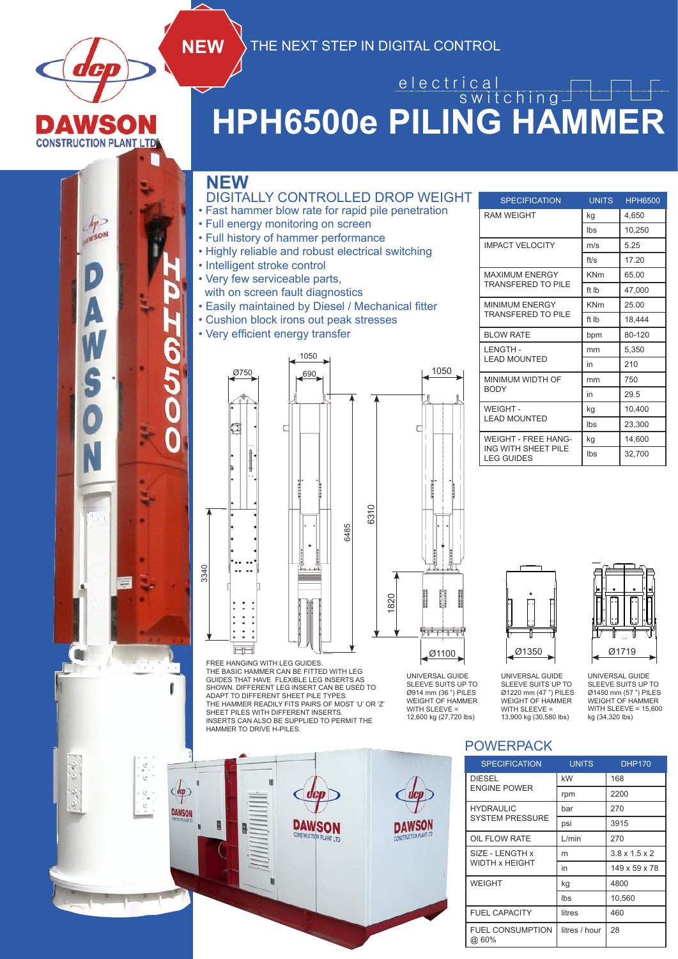

**CONSTRUCTION PLANT LTD** 

 $4^{\circ}$ **HINSON** 

S

#### **HPH6500e PILING HAMMER** e l e c t r i c a l switching

#### **NEW**

3340

 $\alpha$  ,  $\alpha$ 

 $\tilde{\zeta}$ 

 $\mathbb{Z}$ 

DAWSON

- DIGITALLY CONTROLLED DROP WEIGHT
- Fast hammer blow rate for rapid pile penetration
- Full energy monitoring on screen
- Full history of hammer performance
- Highly reliable and robust electrical switching
- Intelligent stroke control
- Very few serviceable parts,
- with on screen fault diagnostics
- Easily maintained by Diesel / Mechanical fitter
- Cushion block irons out peak stresses
- Very efficient energy transfer



FREE HANGING WITH LEG GUIDES. THE BASIC HAMMER CAN BE FITTED WITH LEG GUIDES THAT HAVE FLEXIBLE LEG INSERTS AS SHOWN. DIFFERENT LEG INSERT CAN BE USED TO ADAPT TO DIFFERENT SHEET PILE TYPES. THE HAMMER READILY FITS PAIRS OF MOST 'U' OR 'Z' SHEET PILES WITH DIFFERENT INSERTS. INSERTS CAN ALSO BE SUPPLIED TO PERMIT THE HAMMER TO DRIVE H-PILES.

**DAWSON**  $\mathbb{R}$ **DAWSON** 

| <b>SPECIFICATION</b>                     | <b>UNITS</b> | <b>HPH6500</b> |  |
|------------------------------------------|--------------|----------------|--|
| <b>RAM WEIGHT</b>                        | kg           | 4,650          |  |
|                                          | Ibs          | 10,250         |  |
| <b>IMPACT VELOCITY</b>                   | m/s          | 5.25           |  |
|                                          | ft/s         | 17.20          |  |
| <b>MAXIMUM ENERGY</b>                    | <b>KNm</b>   | 65.00          |  |
| <b>TRANSFERED TO PILE</b>                | ft Ib        | 47,000         |  |
| MINIMUM ENERGY                           | <b>KNm</b>   | 25.00          |  |
| <b>TRANSFERED TO PILE</b>                | ft Ib        | 18,444         |  |
| <b>BLOW RATE</b>                         | bpm          | 80-120         |  |
| <b>LENGTH-</b>                           | mm           | 5,350          |  |
| <b>LEAD MOUNTED</b>                      | in           | 210            |  |
| MINIMUM WIDTH OF                         | mm           | 750            |  |
| <b>BODY</b>                              | in           | 29.5           |  |
| WEIGHT-                                  | kg           | 10,400         |  |
| <b>LEAD MOUNTED</b>                      | Ibs          | 23,300         |  |
| <b>WEIGHT - FREE HANG-</b>               | kg           | 14,600         |  |
| ING WITH SHEET PILE<br><b>LEG GUIDES</b> | Ibs          | 32,700         |  |





WEIGHT OF HAMMER<br>WITH SLEEVE = 15,600 UNIVERSAL GUIDE<br>SLEEVE SUITS UP TO UNIVERSAL GUIDE Ø1220 mm (47 ") PILES WEIGHT OF HAMMER WITH SLEEVE = 13,900 kg (30,580 lbs) UNIVERSAL GUIDE SLEEVE SUITS UP TO Ø1450 mm (57 ") PILES WEIGHT OF HAMMER kg (34,320 lbs)

#### POWERPACK **Surface Final Act of the Surface Final Act of the Surface Final Act of the Surface Final Act of the Surface Surface Surface Surface Surface Surface Surface Surface Surface Surface Surface Surface Surface Surface** . *.* . MACHINING TOLERANCES UNLESS STATED OTHERWISE X = +/- 0.5

UNIVERSAL GUIDE SLEEVE SUITS UP TO Ø914 mm (36 ") PILES WEIGHT OF HAMMER WITH SLEEVE = 12,600 kg (27,720 lbs)

| <b>SPECIFICATION</b>             | <b>UNITS</b>  | <b>DHP170</b>             |
|----------------------------------|---------------|---------------------------|
| <b>DIESEL</b>                    | kW            | 168                       |
| <b>ENGINE POWER</b>              | rpm           | 2200                      |
| <b>HYDRAULIC</b>                 | bar           | 270                       |
| <b>SYSTEM PRESSURE</b>           | psi           | 3915                      |
| OIL FLOW RATE                    | L/min         | 270                       |
| SIZE - LENGTH x                  | m             | $3.8 \times 1.5 \times 2$ |
| <b>WIDTH x HEIGHT</b>            | in            | 149 x 59 x 78             |
| <b>WEIGHT</b>                    | kg            | 4800                      |
|                                  | <b>lbs</b>    | 10,560                    |
| <b>FUEL CAPACITY</b>             | litres        | 460                       |
| <b>FUEL CONSUMPTION</b><br>@ 60% | litres / hour | 28                        |